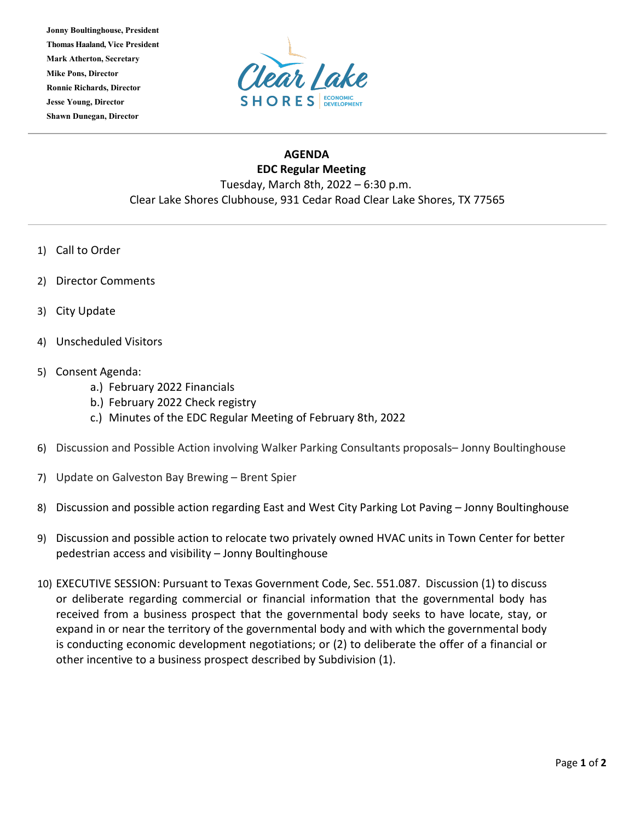**Jonny Boultinghouse, President Thomas Haaland, Vice President Mark Atherton, Secretary Mike Pons, Director Ronnie Richards, Director Jesse Young, Director Shawn Dunegan, Director**



## **AGENDA EDC Regular Meeting** Tuesday, March 8th, 2022 – 6:30 p.m. Clear Lake Shores Clubhouse, 931 Cedar Road Clear Lake Shores, TX 77565

- 1) Call to Order
- 2) Director Comments
- 3) City Update
- 4) Unscheduled Visitors
- 5) Consent Agenda:
	- a.) February 2022 Financials
	- b.) February 2022 Check registry
	- c.) Minutes of the EDC Regular Meeting of February 8th, 2022
- 6) Discussion and Possible Action involving Walker Parking Consultants proposals– Jonny Boultinghouse
- 7) Update on Galveston Bay Brewing Brent Spier
- 8) Discussion and possible action regarding East and West City Parking Lot Paving Jonny Boultinghouse
- 9) Discussion and possible action to relocate two privately owned HVAC units in Town Center for better pedestrian access and visibility – Jonny Boultinghouse
- 10) EXECUTIVE SESSION: Pursuant to Texas Government Code, Sec. 551.087. Discussion (1) to discuss or deliberate regarding commercial or financial information that the governmental body has received from a business prospect that the governmental body seeks to have locate, stay, or expand in or near the territory of the governmental body and with which the governmental body is conducting economic development negotiations; or (2) to deliberate the offer of a financial or other incentive to a business prospect described by Subdivision (1).